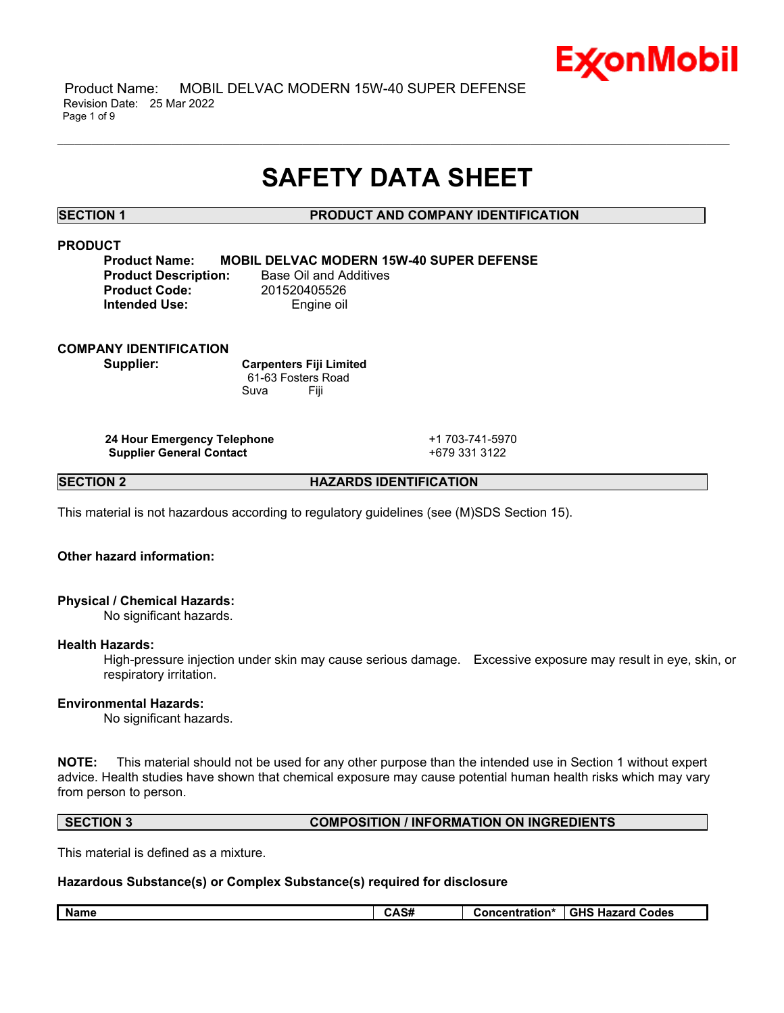

 Product Name: MOBIL DELVAC MODERN 15W-40 SUPER DEFENSE Revision Date: 25 Mar 2022 Page 1 of 9

# **SAFETY DATA SHEET**

\_\_\_\_\_\_\_\_\_\_\_\_\_\_\_\_\_\_\_\_\_\_\_\_\_\_\_\_\_\_\_\_\_\_\_\_\_\_\_\_\_\_\_\_\_\_\_\_\_\_\_\_\_\_\_\_\_\_\_\_\_\_\_\_\_\_\_\_\_\_\_\_\_\_\_\_\_\_\_\_\_\_\_\_\_\_\_\_\_\_\_\_\_\_\_\_\_\_\_\_\_\_\_\_\_\_\_\_\_\_\_\_\_\_\_\_\_\_

# **SECTION 1 PRODUCT AND COMPANY IDENTIFICATION**

# **PRODUCT**

**Product Name: MOBIL DELVAC MODERN 15W-40 SUPER DEFENSE Product Code:** 201520405526 **Intended Use:** Engine oil

**Product Description:** Base Oil and Additives

# **COMPANY IDENTIFICATION**

**Supplier: Carpenters Fiji Limited** 61-63 Fosters Road Suva Fiji

**24 Hour Emergency Telephone** +1 703-741-5970 **Supplier General Contact** +679 331 3122

**SECTION 2 HAZARDS IDENTIFICATION**

This material is not hazardous according to regulatory guidelines (see (M)SDS Section 15).

# **Other hazard information:**

# **Physical / Chemical Hazards:**

No significant hazards.

### **Health Hazards:**

High-pressure injection under skin may cause serious damage. Excessive exposure may result in eye, skin, or respiratory irritation.

### **Environmental Hazards:**

No significant hazards.

**NOTE:** This material should not be used for any other purpose than the intended use in Section 1 without expert advice. Health studies have shown that chemical exposure may cause potential human health risks which may vary from person to person.

# **SECTION 3 COMPOSITION / INFORMATION ON INGREDIENTS**

This material is defined as a mixture.

# **Hazardous Substance(s) or Complex Substance(s) required for disclosure**

| <b>GHS</b><br><b>Name</b><br>Codes<br><b>Hazarc</b><br>*ration*<br>m<br><b>UAJ#</b><br>uonce |
|----------------------------------------------------------------------------------------------|
|----------------------------------------------------------------------------------------------|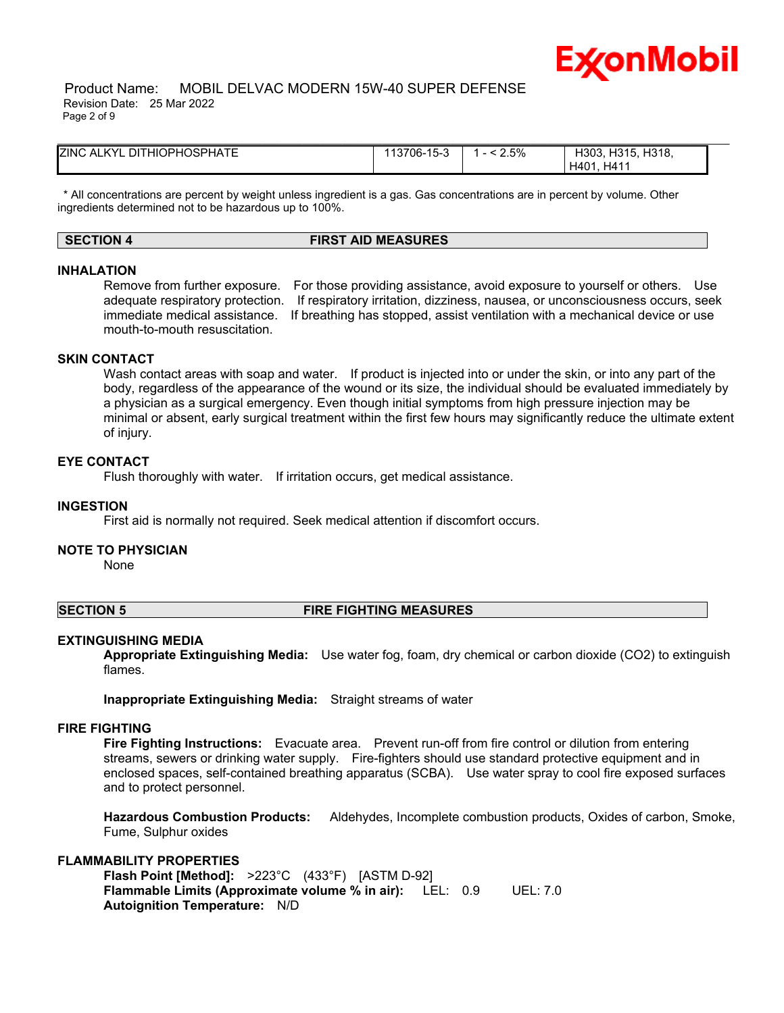

 Product Name: MOBIL DELVAC MODERN 15W-40 SUPER DEFENSE Revision Date: 25 Mar 2022 Page 2 of 9

| <b>ZINC ALKYL DITHIOPHOSPHATE</b> | 13706-15-3 | 2.5% | H318.<br>H303.<br>H315.<br>H41'<br>H401 |  |
|-----------------------------------|------------|------|-----------------------------------------|--|

\* All concentrations are percent by weight unless ingredient is a gas. Gas concentrations are in percent by volume. Other ingredients determined not to be hazardous up to 100%.

# **SECTION 4 FIRST AID MEASURES**

### **INHALATION**

Remove from further exposure. For those providing assistance, avoid exposure to yourself or others. Use adequate respiratory protection. If respiratory irritation, dizziness, nausea, or unconsciousness occurs, seek immediate medical assistance. If breathing has stopped, assist ventilation with a mechanical device or use mouth-to-mouth resuscitation.

# **SKIN CONTACT**

Wash contact areas with soap and water. If product is injected into or under the skin, or into any part of the body, regardless of the appearance of the wound or its size, the individual should be evaluated immediately by a physician as a surgical emergency. Even though initial symptoms from high pressure injection may be minimal or absent, early surgical treatment within the first few hours may significantly reduce the ultimate extent of injury.

#### **EYE CONTACT**

Flush thoroughly with water. If irritation occurs, get medical assistance.

#### **INGESTION**

First aid is normally not required. Seek medical attention if discomfort occurs.

#### **NOTE TO PHYSICIAN**

None

#### **SECTION 5 FIRE FIGHTING MEASURES**

#### **EXTINGUISHING MEDIA**

**Appropriate Extinguishing Media:** Use water fog, foam, dry chemical or carbon dioxide (CO2) to extinguish flames.

**Inappropriate Extinguishing Media:** Straight streams of water

#### **FIRE FIGHTING**

**Fire Fighting Instructions:** Evacuate area. Prevent run-off from fire control or dilution from entering streams, sewers or drinking water supply. Fire-fighters should use standard protective equipment and in enclosed spaces, self-contained breathing apparatus (SCBA). Use water spray to cool fire exposed surfaces and to protect personnel.

**Hazardous Combustion Products:** Aldehydes, Incomplete combustion products, Oxides of carbon, Smoke, Fume, Sulphur oxides

# **FLAMMABILITY PROPERTIES**

**Flash Point [Method]:** >223°C (433°F) [ASTM D-92] **Flammable Limits (Approximate volume % in air):** LEL: 0.9 UEL: 7.0 **Autoignition Temperature:** N/D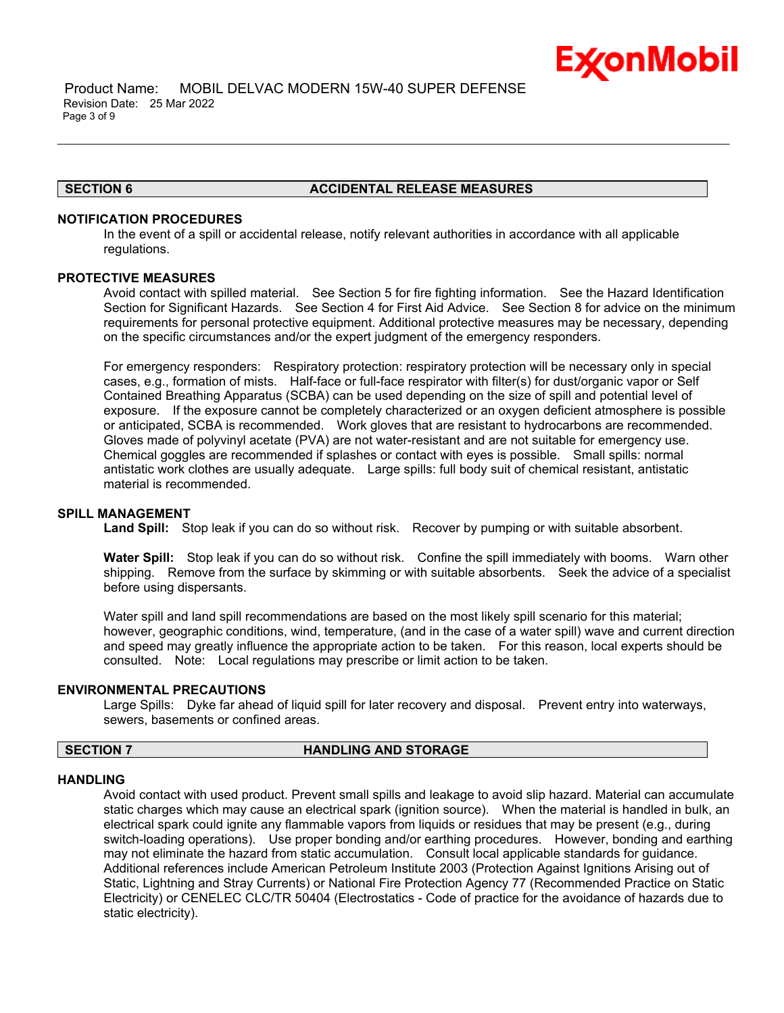

# **SECTION 6 ACCIDENTAL RELEASE MEASURES**

# **NOTIFICATION PROCEDURES**

In the event of a spill or accidental release, notify relevant authorities in accordance with all applicable regulations.

\_\_\_\_\_\_\_\_\_\_\_\_\_\_\_\_\_\_\_\_\_\_\_\_\_\_\_\_\_\_\_\_\_\_\_\_\_\_\_\_\_\_\_\_\_\_\_\_\_\_\_\_\_\_\_\_\_\_\_\_\_\_\_\_\_\_\_\_\_\_\_\_\_\_\_\_\_\_\_\_\_\_\_\_\_\_\_\_\_\_\_\_\_\_\_\_\_\_\_\_\_\_\_\_\_\_\_\_\_\_\_\_\_\_\_\_\_\_

# **PROTECTIVE MEASURES**

Avoid contact with spilled material. See Section 5 for fire fighting information. See the Hazard Identification Section for Significant Hazards. See Section 4 for First Aid Advice. See Section 8 for advice on the minimum requirements for personal protective equipment. Additional protective measures may be necessary, depending on the specific circumstances and/or the expert judgment of the emergency responders.

For emergency responders: Respiratory protection: respiratory protection will be necessary only in special cases, e.g., formation of mists. Half-face or full-face respirator with filter(s) for dust/organic vapor or Self Contained Breathing Apparatus (SCBA) can be used depending on the size of spill and potential level of exposure. If the exposure cannot be completely characterized or an oxygen deficient atmosphere is possible or anticipated, SCBA is recommended. Work gloves that are resistant to hydrocarbons are recommended. Gloves made of polyvinyl acetate (PVA) are not water-resistant and are not suitable for emergency use. Chemical goggles are recommended if splashes or contact with eyes is possible. Small spills: normal antistatic work clothes are usually adequate. Large spills: full body suit of chemical resistant, antistatic material is recommended.

### **SPILL MANAGEMENT**

**Land Spill:** Stop leak if you can do so without risk. Recover by pumping or with suitable absorbent.

**Water Spill:** Stop leak if you can do so without risk. Confine the spill immediately with booms. Warn other shipping. Remove from the surface by skimming or with suitable absorbents. Seek the advice of a specialist before using dispersants.

Water spill and land spill recommendations are based on the most likely spill scenario for this material; however, geographic conditions, wind, temperature, (and in the case of a water spill) wave and current direction and speed may greatly influence the appropriate action to be taken. For this reason, local experts should be consulted. Note: Local regulations may prescribe or limit action to be taken.

# **ENVIRONMENTAL PRECAUTIONS**

Large Spills: Dyke far ahead of liquid spill for later recovery and disposal. Prevent entry into waterways, sewers, basements or confined areas.

# **SECTION 7 HANDLING AND STORAGE**

### **HANDLING**

Avoid contact with used product. Prevent small spills and leakage to avoid slip hazard. Material can accumulate static charges which may cause an electrical spark (ignition source). When the material is handled in bulk, an electrical spark could ignite any flammable vapors from liquids or residues that may be present (e.g., during switch-loading operations). Use proper bonding and/or earthing procedures. However, bonding and earthing may not eliminate the hazard from static accumulation. Consult local applicable standards for guidance. Additional references include American Petroleum Institute 2003 (Protection Against Ignitions Arising out of Static, Lightning and Stray Currents) or National Fire Protection Agency 77 (Recommended Practice on Static Electricity) or CENELEC CLC/TR 50404 (Electrostatics - Code of practice for the avoidance of hazards due to static electricity).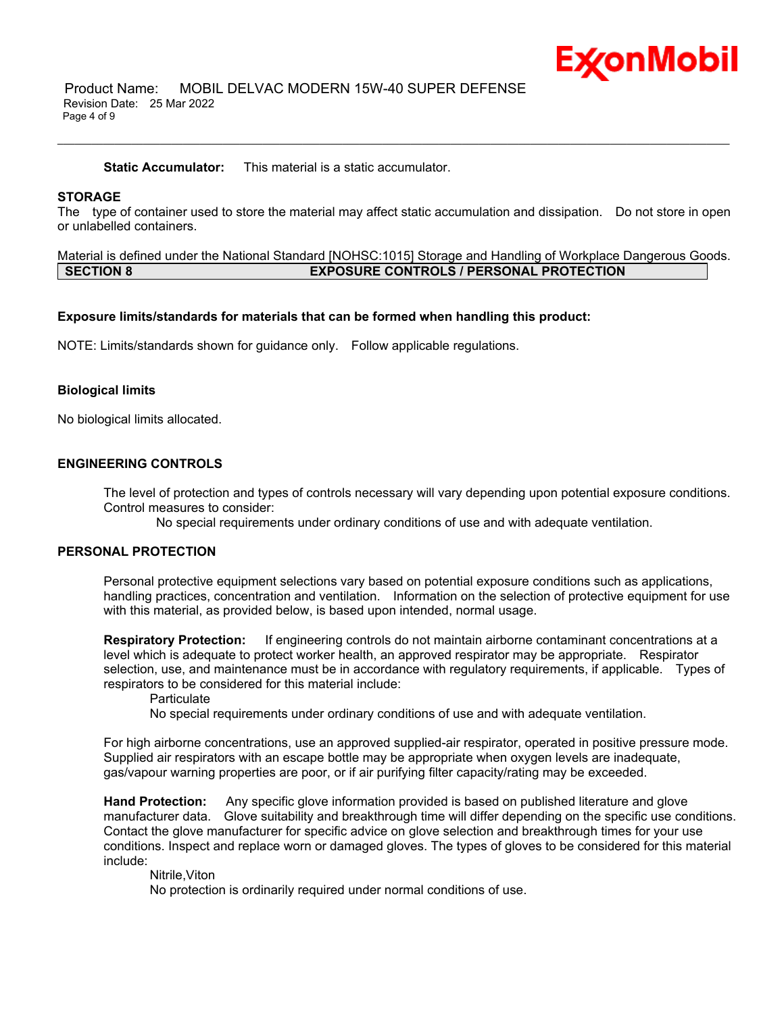

 Product Name: MOBIL DELVAC MODERN 15W-40 SUPER DEFENSE Revision Date: 25 Mar 2022 Page 4 of 9

**Static Accumulator:** This material is a static accumulator.

# **STORAGE**

The type of container used to store the material may affect static accumulation and dissipation. Do not store in open or unlabelled containers.

\_\_\_\_\_\_\_\_\_\_\_\_\_\_\_\_\_\_\_\_\_\_\_\_\_\_\_\_\_\_\_\_\_\_\_\_\_\_\_\_\_\_\_\_\_\_\_\_\_\_\_\_\_\_\_\_\_\_\_\_\_\_\_\_\_\_\_\_\_\_\_\_\_\_\_\_\_\_\_\_\_\_\_\_\_\_\_\_\_\_\_\_\_\_\_\_\_\_\_\_\_\_\_\_\_\_\_\_\_\_\_\_\_\_\_\_\_\_

Material is defined under the National Standard [NOHSC:1015] Storage and Handling of Workplace Dangerous Goods. **SECTION 8 EXPOSURE CONTROLS / PERSONAL PROTECTION**

### **Exposure limits/standards for materials that can be formed when handling this product:**

NOTE: Limits/standards shown for guidance only. Follow applicable regulations.

### **Biological limits**

No biological limits allocated.

# **ENGINEERING CONTROLS**

The level of protection and types of controls necessary will vary depending upon potential exposure conditions. Control measures to consider:

No special requirements under ordinary conditions of use and with adequate ventilation.

### **PERSONAL PROTECTION**

Personal protective equipment selections vary based on potential exposure conditions such as applications, handling practices, concentration and ventilation. Information on the selection of protective equipment for use with this material, as provided below, is based upon intended, normal usage.

**Respiratory Protection:** If engineering controls do not maintain airborne contaminant concentrations at a level which is adequate to protect worker health, an approved respirator may be appropriate. Respirator selection, use, and maintenance must be in accordance with regulatory requirements, if applicable. Types of respirators to be considered for this material include:

**Particulate** 

No special requirements under ordinary conditions of use and with adequate ventilation.

For high airborne concentrations, use an approved supplied-air respirator, operated in positive pressure mode. Supplied air respirators with an escape bottle may be appropriate when oxygen levels are inadequate, gas/vapour warning properties are poor, or if air purifying filter capacity/rating may be exceeded.

**Hand Protection:** Any specific glove information provided is based on published literature and glove manufacturer data. Glove suitability and breakthrough time will differ depending on the specific use conditions. Contact the glove manufacturer for specific advice on glove selection and breakthrough times for your use conditions. Inspect and replace worn or damaged gloves. The types of gloves to be considered for this material include:

Nitrile,Viton

No protection is ordinarily required under normal conditions of use.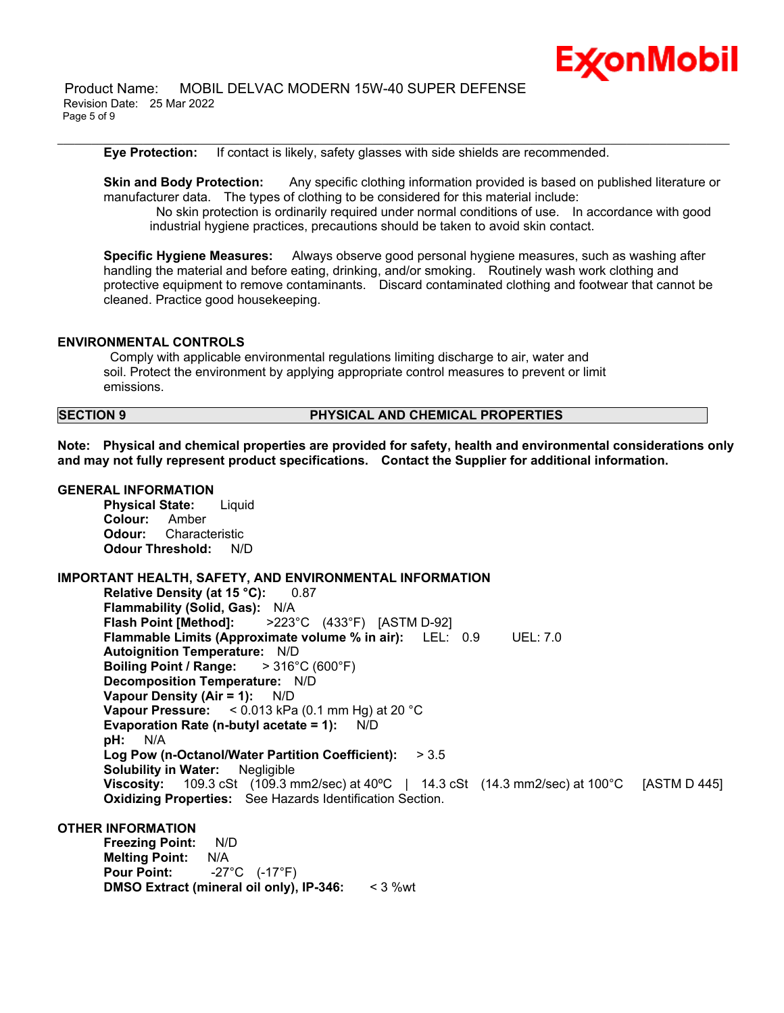

 Product Name: MOBIL DELVAC MODERN 15W-40 SUPER DEFENSE Revision Date: 25 Mar 2022 Page 5 of 9

**Eye Protection:** If contact is likely, safety glasses with side shields are recommended.

**Skin and Body Protection:** Any specific clothing information provided is based on published literature or manufacturer data. The types of clothing to be considered for this material include: No skin protection is ordinarily required under normal conditions of use. In accordance with good industrial hygiene practices, precautions should be taken to avoid skin contact.

\_\_\_\_\_\_\_\_\_\_\_\_\_\_\_\_\_\_\_\_\_\_\_\_\_\_\_\_\_\_\_\_\_\_\_\_\_\_\_\_\_\_\_\_\_\_\_\_\_\_\_\_\_\_\_\_\_\_\_\_\_\_\_\_\_\_\_\_\_\_\_\_\_\_\_\_\_\_\_\_\_\_\_\_\_\_\_\_\_\_\_\_\_\_\_\_\_\_\_\_\_\_\_\_\_\_\_\_\_\_\_\_\_\_\_\_\_\_

**Specific Hygiene Measures:** Always observe good personal hygiene measures, such as washing after handling the material and before eating, drinking, and/or smoking. Routinely wash work clothing and protective equipment to remove contaminants. Discard contaminated clothing and footwear that cannot be cleaned. Practice good housekeeping.

# **ENVIRONMENTAL CONTROLS**

Comply with applicable environmental regulations limiting discharge to air, water and soil. Protect the environment by applying appropriate control measures to prevent or limit emissions.

# **SECTION 9 PHYSICAL AND CHEMICAL PROPERTIES**

**Note: Physical and chemical properties are provided for safety, health and environmental considerations only and may not fully represent product specifications. Contact the Supplier for additional information.**

# **GENERAL INFORMATION**

**Physical State:** Liquid **Colour:** Amber **Odour:** Characteristic **Odour Threshold:** N/D

**IMPORTANT HEALTH, SAFETY, AND ENVIRONMENTAL INFORMATION Relative Density (at 15 °C):** 0.87 **Flammability (Solid, Gas):** N/A **Flash Point [Method]:** >223°C (433°F) [ASTM D-92] **Flammable Limits (Approximate volume % in air):** LEL: 0.9 UEL: 7.0 **Autoignition Temperature:** N/D **Boiling Point / Range:** > 316°C (600°F) **Decomposition Temperature:** N/D **Vapour Density (Air = 1):** N/D **Vapour Pressure:** < 0.013 kPa (0.1 mm Hg) at 20 °C **Evaporation Rate (n-butyl acetate = 1):** N/D **pH:** N/A **Log Pow (n-Octanol/Water Partition Coefficient):** > 3.5 **Solubility in Water:** Negligible **Viscosity:** 109.3 cSt (109.3 mm2/sec) at 40ºC | 14.3 cSt (14.3 mm2/sec) at 100°C [ASTM D 445] **Oxidizing Properties:** See Hazards Identification Section.

# **OTHER INFORMATION**

**Freezing Point:** N/D **Melting Point:** N/A **Pour Point:** -27°C (-17°F) **DMSO Extract (mineral oil only), IP-346:** < 3 %wt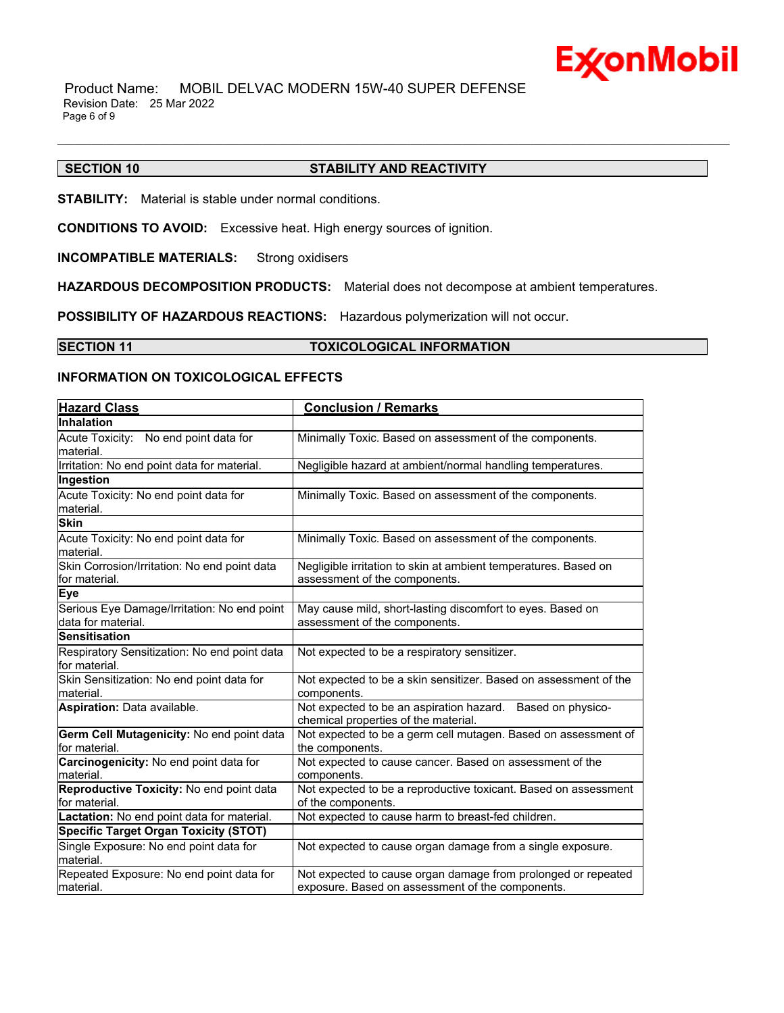

 Product Name: MOBIL DELVAC MODERN 15W-40 SUPER DEFENSE Revision Date: 25 Mar 2022 Page 6 of 9

# **SECTION 10 STABILITY AND REACTIVITY**

\_\_\_\_\_\_\_\_\_\_\_\_\_\_\_\_\_\_\_\_\_\_\_\_\_\_\_\_\_\_\_\_\_\_\_\_\_\_\_\_\_\_\_\_\_\_\_\_\_\_\_\_\_\_\_\_\_\_\_\_\_\_\_\_\_\_\_\_\_\_\_\_\_\_\_\_\_\_\_\_\_\_\_\_\_\_\_\_\_\_\_\_\_\_\_\_\_\_\_\_\_\_\_\_\_\_\_\_\_\_\_\_\_\_\_\_\_\_

**STABILITY:** Material is stable under normal conditions.

**CONDITIONS TO AVOID:** Excessive heat. High energy sources of ignition.

**INCOMPATIBLE MATERIALS:** Strong oxidisers

**HAZARDOUS DECOMPOSITION PRODUCTS:** Material does not decompose at ambient temperatures.

**POSSIBILITY OF HAZARDOUS REACTIONS:** Hazardous polymerization will not occur.

# **SECTION 11 TOXICOLOGICAL INFORMATION**

# **INFORMATION ON TOXICOLOGICAL EFFECTS**

| <b>Hazard Class</b>                                               | <b>Conclusion / Remarks</b>                                                                                       |
|-------------------------------------------------------------------|-------------------------------------------------------------------------------------------------------------------|
| <b>Inhalation</b>                                                 |                                                                                                                   |
| Acute Toxicity: No end point data for<br>material.                | Minimally Toxic. Based on assessment of the components.                                                           |
| Irritation: No end point data for material.                       | Negligible hazard at ambient/normal handling temperatures.                                                        |
| Ingestion                                                         |                                                                                                                   |
| Acute Toxicity: No end point data for<br>material.                | Minimally Toxic. Based on assessment of the components.                                                           |
| <b>Skin</b>                                                       |                                                                                                                   |
| Acute Toxicity: No end point data for<br>material.                | Minimally Toxic. Based on assessment of the components.                                                           |
| Skin Corrosion/Irritation: No end point data<br>for material.     | Negligible irritation to skin at ambient temperatures. Based on<br>assessment of the components.                  |
| <b>Eye</b>                                                        |                                                                                                                   |
| Serious Eye Damage/Irritation: No end point<br>data for material. | May cause mild, short-lasting discomfort to eyes. Based on<br>assessment of the components.                       |
| <b>Sensitisation</b>                                              |                                                                                                                   |
| Respiratory Sensitization: No end point data<br>for material.     | Not expected to be a respiratory sensitizer.                                                                      |
| Skin Sensitization: No end point data for<br>material.            | Not expected to be a skin sensitizer. Based on assessment of the<br>components.                                   |
| Aspiration: Data available.                                       | Not expected to be an aspiration hazard. Based on physico-<br>chemical properties of the material.                |
| Germ Cell Mutagenicity: No end point data<br>for material.        | Not expected to be a germ cell mutagen. Based on assessment of<br>the components.                                 |
| Carcinogenicity: No end point data for<br>material.               | Not expected to cause cancer. Based on assessment of the<br>components.                                           |
| Reproductive Toxicity: No end point data<br>for material.         | Not expected to be a reproductive toxicant. Based on assessment<br>of the components.                             |
| Lactation: No end point data for material.                        | Not expected to cause harm to breast-fed children.                                                                |
| <b>Specific Target Organ Toxicity (STOT)</b>                      |                                                                                                                   |
| Single Exposure: No end point data for<br>material.               | Not expected to cause organ damage from a single exposure.                                                        |
| Repeated Exposure: No end point data for<br>material.             | Not expected to cause organ damage from prolonged or repeated<br>exposure. Based on assessment of the components. |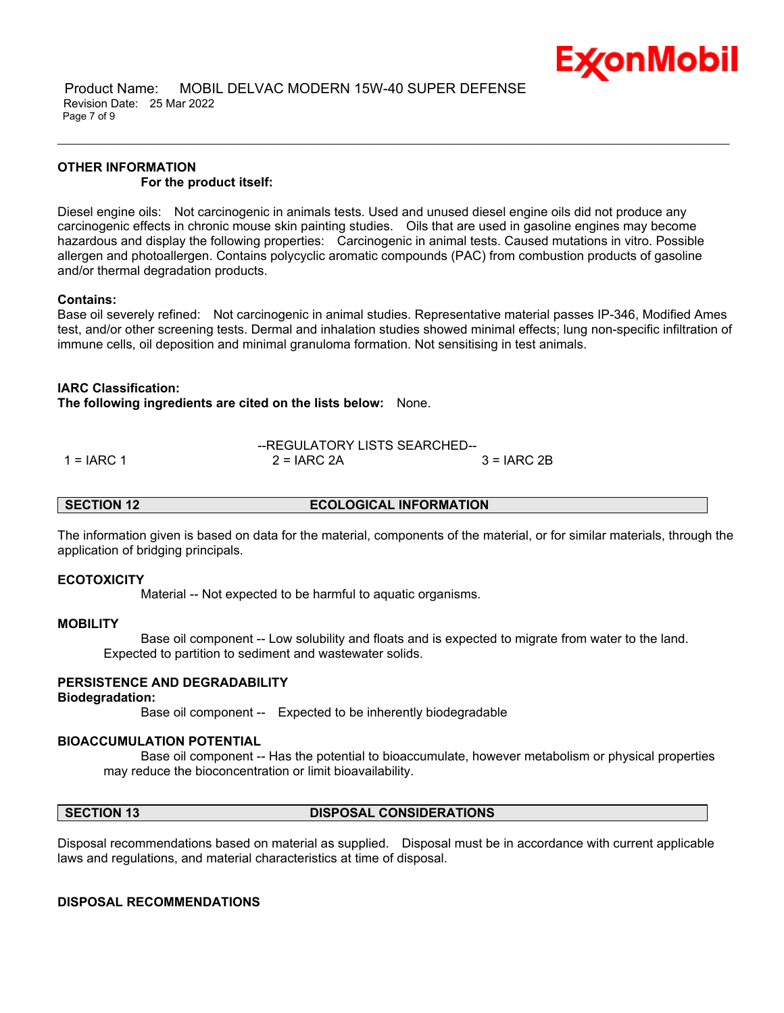

# **OTHER INFORMATION For the product itself:**

Diesel engine oils: Not carcinogenic in animals tests. Used and unused diesel engine oils did not produce any carcinogenic effects in chronic mouse skin painting studies. Oils that are used in gasoline engines may become hazardous and display the following properties: Carcinogenic in animal tests. Caused mutations in vitro. Possible allergen and photoallergen. Contains polycyclic aromatic compounds (PAC) from combustion products of gasoline and/or thermal degradation products.

\_\_\_\_\_\_\_\_\_\_\_\_\_\_\_\_\_\_\_\_\_\_\_\_\_\_\_\_\_\_\_\_\_\_\_\_\_\_\_\_\_\_\_\_\_\_\_\_\_\_\_\_\_\_\_\_\_\_\_\_\_\_\_\_\_\_\_\_\_\_\_\_\_\_\_\_\_\_\_\_\_\_\_\_\_\_\_\_\_\_\_\_\_\_\_\_\_\_\_\_\_\_\_\_\_\_\_\_\_\_\_\_\_\_\_\_\_\_

# **Contains:**

Base oil severely refined: Not carcinogenic in animal studies. Representative material passes IP-346, Modified Ames test, and/or other screening tests. Dermal and inhalation studies showed minimal effects; lung non-specific infiltration of immune cells, oil deposition and minimal granuloma formation. Not sensitising in test animals.

# **IARC Classification:**

**The following ingredients are cited on the lists below:** None.

--REGULATORY LISTS SEARCHED--  $1 = IARC 1$  2 = IARC 2A  $3 = IARC 2B$ 

**SECTION 12 ECOLOGICAL INFORMATION**

The information given is based on data for the material, components of the material, or for similar materials, through the application of bridging principals.

### **ECOTOXICITY**

Material -- Not expected to be harmful to aquatic organisms.

### **MOBILITY**

 Base oil component -- Low solubility and floats and is expected to migrate from water to the land. Expected to partition to sediment and wastewater solids.

# **PERSISTENCE AND DEGRADABILITY**

### **Biodegradation:**

Base oil component -- Expected to be inherently biodegradable

### **BIOACCUMULATION POTENTIAL**

 Base oil component -- Has the potential to bioaccumulate, however metabolism or physical properties may reduce the bioconcentration or limit bioavailability.

#### **SECTION 13 DISPOSAL CONSIDERATIONS**

Disposal recommendations based on material as supplied. Disposal must be in accordance with current applicable laws and regulations, and material characteristics at time of disposal.

### **DISPOSAL RECOMMENDATIONS**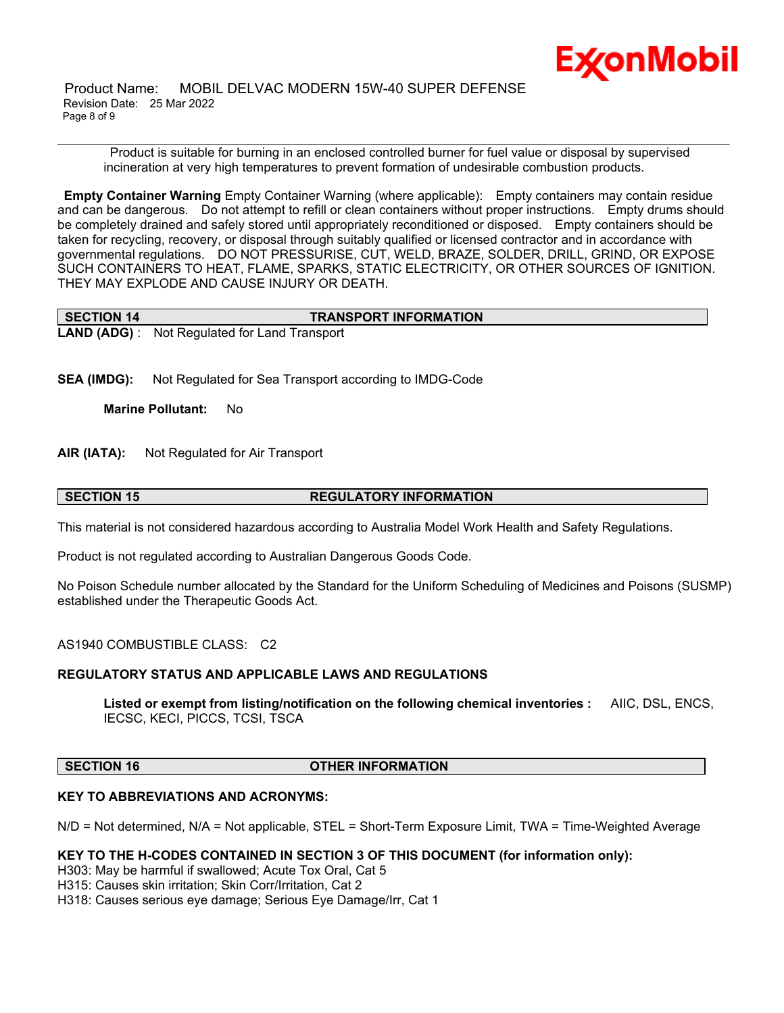

 Product Name: MOBIL DELVAC MODERN 15W-40 SUPER DEFENSE Revision Date: 25 Mar 2022 Page 8 of 9

Product is suitable for burning in an enclosed controlled burner for fuel value or disposal by supervised incineration at very high temperatures to prevent formation of undesirable combustion products.

\_\_\_\_\_\_\_\_\_\_\_\_\_\_\_\_\_\_\_\_\_\_\_\_\_\_\_\_\_\_\_\_\_\_\_\_\_\_\_\_\_\_\_\_\_\_\_\_\_\_\_\_\_\_\_\_\_\_\_\_\_\_\_\_\_\_\_\_\_\_\_\_\_\_\_\_\_\_\_\_\_\_\_\_\_\_\_\_\_\_\_\_\_\_\_\_\_\_\_\_\_\_\_\_\_\_\_\_\_\_\_\_\_\_\_\_\_\_

**Empty Container Warning** Empty Container Warning (where applicable): Empty containers may contain residue and can be dangerous. Do not attempt to refill or clean containers without proper instructions. Empty drums should be completely drained and safely stored until appropriately reconditioned or disposed. Empty containers should be taken for recycling, recovery, or disposal through suitably qualified or licensed contractor and in accordance with governmental regulations. DO NOT PRESSURISE, CUT, WELD, BRAZE, SOLDER, DRILL, GRIND, OR EXPOSE SUCH CONTAINERS TO HEAT, FLAME, SPARKS, STATIC ELECTRICITY, OR OTHER SOURCES OF IGNITION. THEY MAY EXPLODE AND CAUSE INJURY OR DEATH.

| <b>SECTION 14</b> | <b>TRANSPORT INFORMATION</b>                         |
|-------------------|------------------------------------------------------|
|                   | <b>LAND (ADG)</b> : Not Regulated for Land Transport |

**SEA (IMDG):** Not Regulated for Sea Transport according to IMDG-Code

**Marine Pollutant:** No

**AIR (IATA):** Not Regulated for Air Transport

# **SECTION 15 REGULATORY INFORMATION**

This material is not considered hazardous according to Australia Model Work Health and Safety Regulations.

Product is not regulated according to Australian Dangerous Goods Code.

No Poison Schedule number allocated by the Standard for the Uniform Scheduling of Medicines and Poisons (SUSMP) established under the Therapeutic Goods Act.

AS1940 COMBUSTIBLE CLASS: C2

# **REGULATORY STATUS AND APPLICABLE LAWS AND REGULATIONS**

**Listed or exempt from listing/notification on the following chemical inventories :** AIIC, DSL, ENCS, IECSC, KECI, PICCS, TCSI, TSCA

# **SECTION 16 OTHER INFORMATION**

# **KEY TO ABBREVIATIONS AND ACRONYMS:**

N/D = Not determined, N/A = Not applicable, STEL = Short-Term Exposure Limit, TWA = Time-Weighted Average

# **KEY TO THE H-CODES CONTAINED IN SECTION 3 OF THIS DOCUMENT (for information only):**

H303: May be harmful if swallowed; Acute Tox Oral, Cat 5

H315: Causes skin irritation; Skin Corr/Irritation, Cat 2

H318: Causes serious eye damage; Serious Eye Damage/Irr, Cat 1